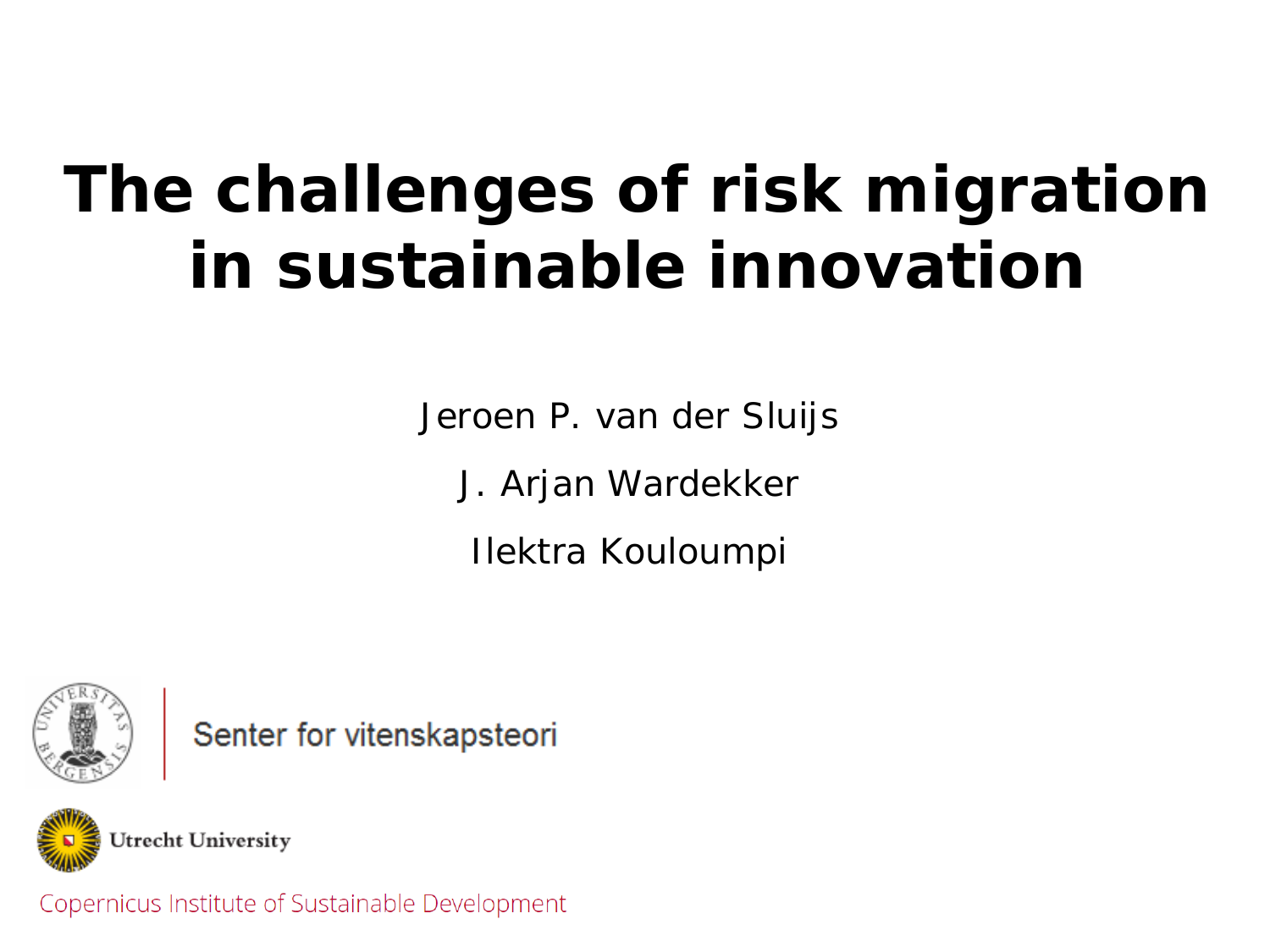#### **The challenges of risk migration in sustainable innovation**

*Jeroen P. van der Sluijs J. Arjan Wardekker*

*Ilektra Kouloumpi*



Senter for vitenskapsteori



Copernicus Institute of Sustainable Development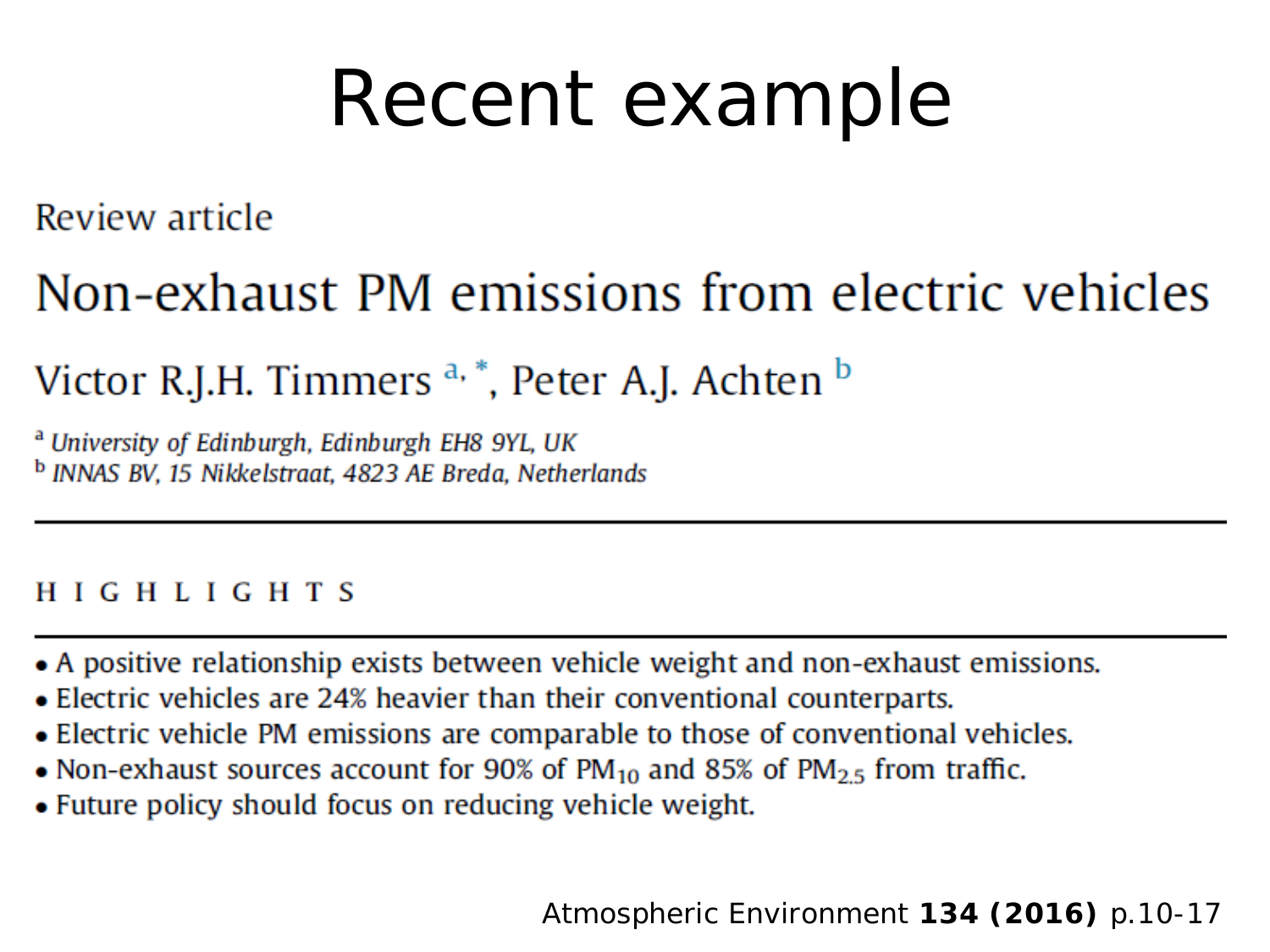## Recent example

Review article

#### Non-exhaust PM emissions from electric vehicles

Victor R.J.H. Timmers <sup>a, \*</sup>, Peter A.J. Achten <sup>b</sup>

<sup>a</sup> University of Edinburgh, Edinburgh EH8 9YL, UK <sup>b</sup> INNAS BV, 15 Nikkelstraat, 4823 AE Breda, Netherlands

#### **HIGHLIGHTS**

- A positive relationship exists between vehicle weight and non-exhaust emissions.
- Electric vehicles are 24% heavier than their conventional counterparts.
- Electric vehicle PM emissions are comparable to those of conventional vehicles.
- Non-exhaust sources account for 90% of  $PM_{10}$  and 85% of  $PM_{2.5}$  from traffic.
- Future policy should focus on reducing vehicle weight.

*Atmospheric Environment* **134 (2016)** p.10-17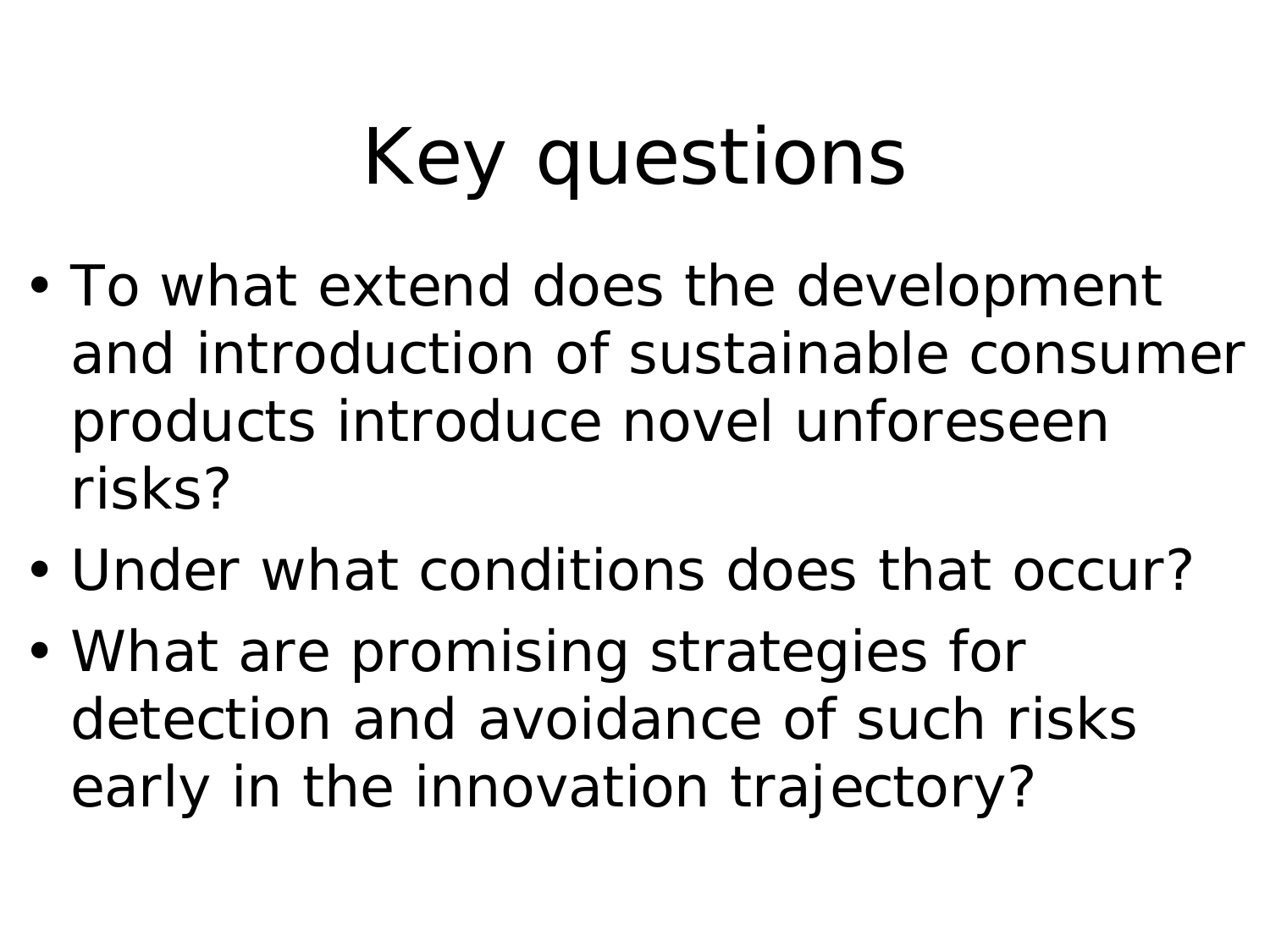## Key questions

- To what extend does the development and introduction of sustainable consumer products introduce novel unforeseen risks?
- Under what conditions does that occur?
- What are promising strategies for detection and avoidance of such risks early in the innovation trajectory?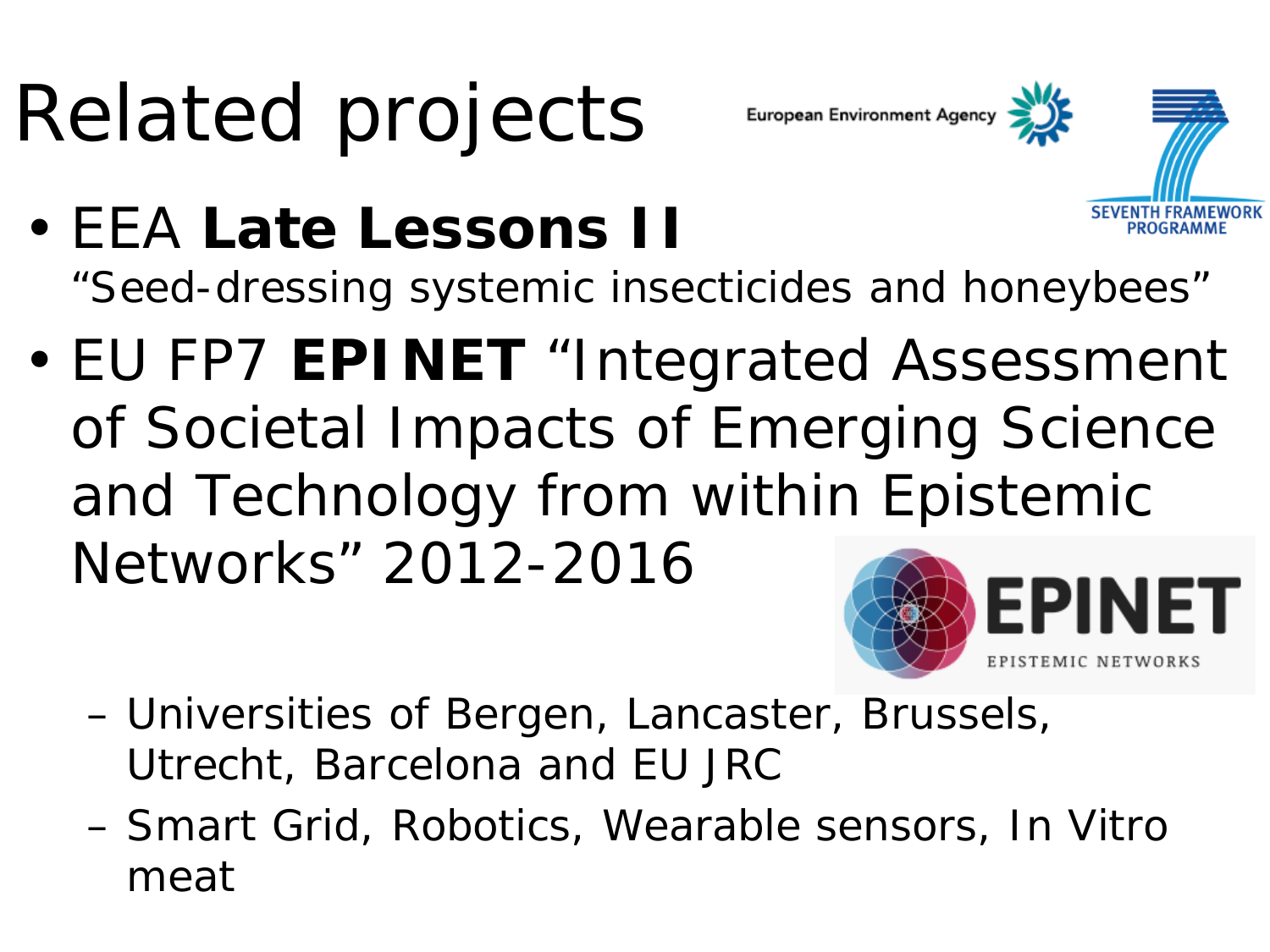# Related projects

European Environment Agency



- EEA **Late Lessons II** "Seed-dressing systemic insecticides and honeybees"
- EU FP7 **EPINET** "Integrated Assessment of Societal Impacts of Emerging Science and Technology from within Epistemic Networks" 2012-2016



- Universities of Bergen, Lancaster, Brussels, Utrecht, Barcelona and EU JRC
- Smart Grid, Robotics, Wearable sensors, In Vitro meat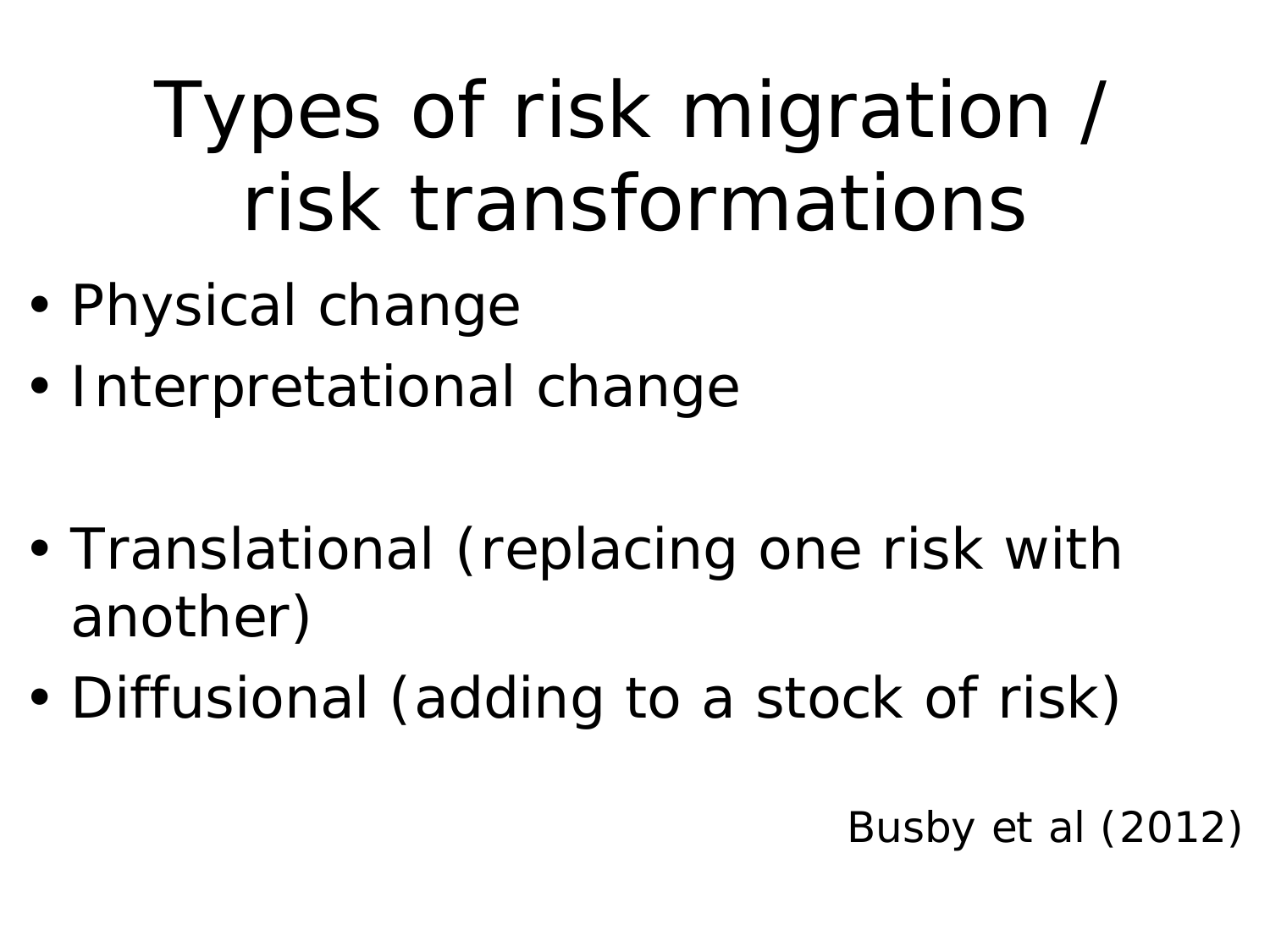## Types of risk migration / risk transformations

- Physical change
- Interpretational change
- Translational (replacing one risk with another)
- Diffusional (adding to a stock of risk)

Busby et al (2012)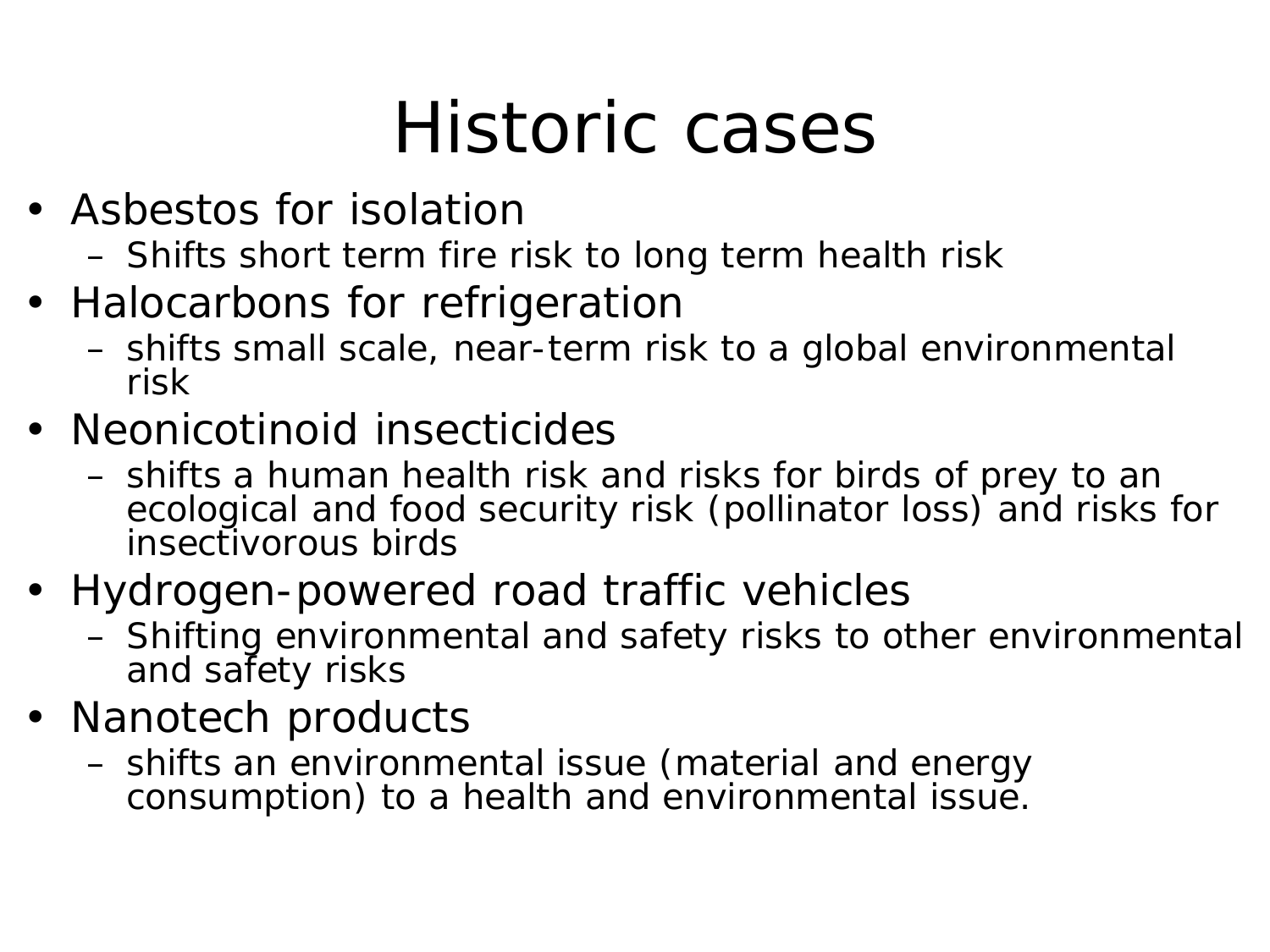### Historic cases

- Asbestos for isolation
	- Shifts short term fire risk to long term health risk
- Halocarbons for refrigeration
	- shifts small scale, near-term risk to a global environmental risk
- Neonicotinoid insecticides
	- shifts a human health risk and risks for birds of prey to an ecological and food security risk (pollinator loss) and risks for insectivorous birds
- Hydrogen-powered road traffic vehicles
	- Shifting environmental and safety risks to other environmental and safety risks
- Nanotech products
	- shifts an environmental issue (material and energy consumption) to a health and environmental issue.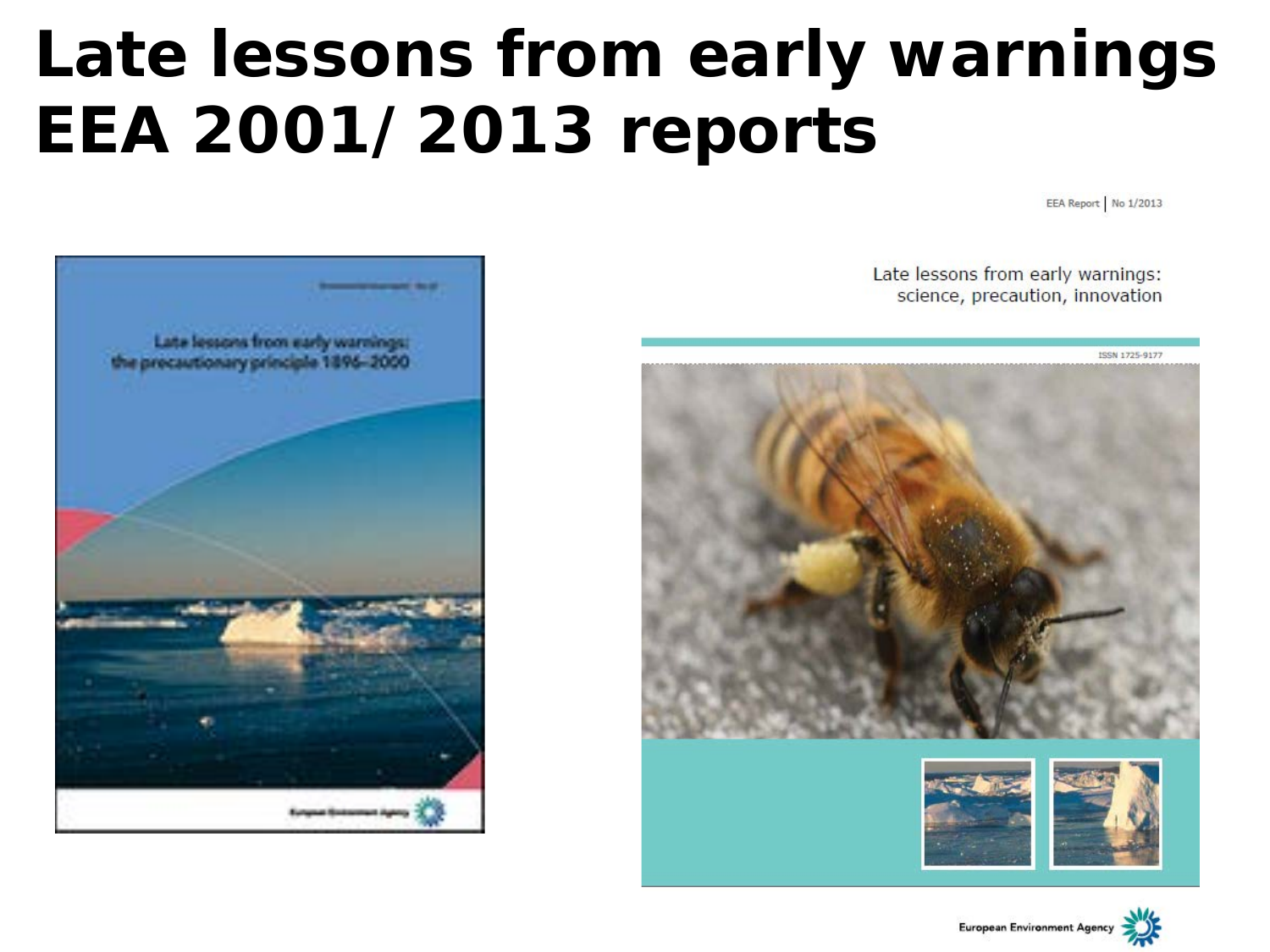#### **Late lessons from early warnings EEA 2001/2013 reports**

EEA Report No 1/2013



Late lessons from early warnings: science, precaution, innovation

![](_page_6_Picture_4.jpeg)

![](_page_6_Picture_5.jpeg)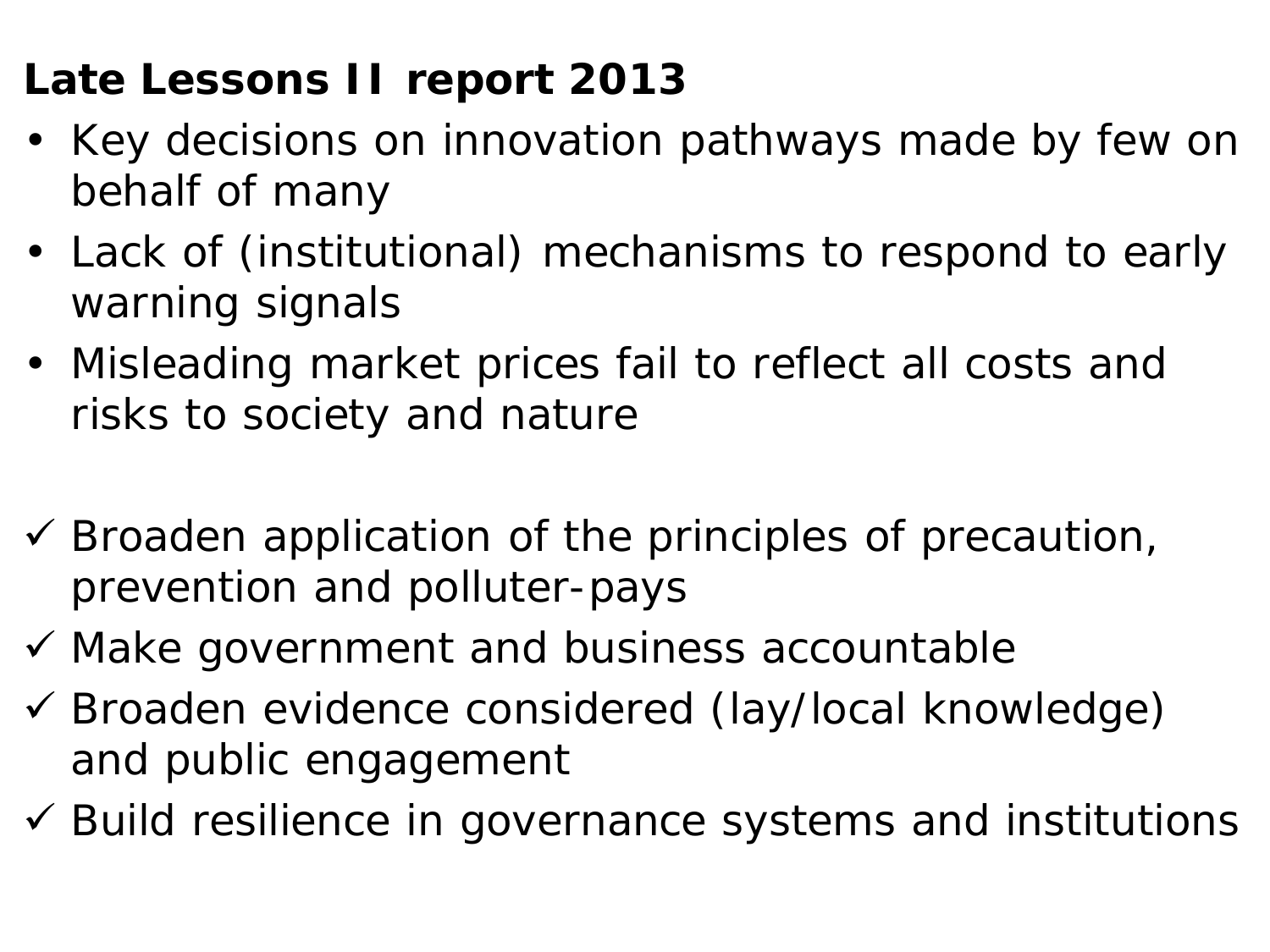#### **Late Lessons II report 2013**

- Key decisions on innovation pathways made by few on behalf of many
- Lack of (institutional) mechanisms to respond to early warning signals
- Misleading market prices fail to reflect all costs and risks to society and nature
- $\checkmark$  Broaden application of the principles of precaution, prevention and polluter-pays
- $\checkmark$  Make government and business accountable
- Broaden evidence considered (lay/local knowledge) and public engagement
- $\checkmark$  Build resilience in governance systems and institutions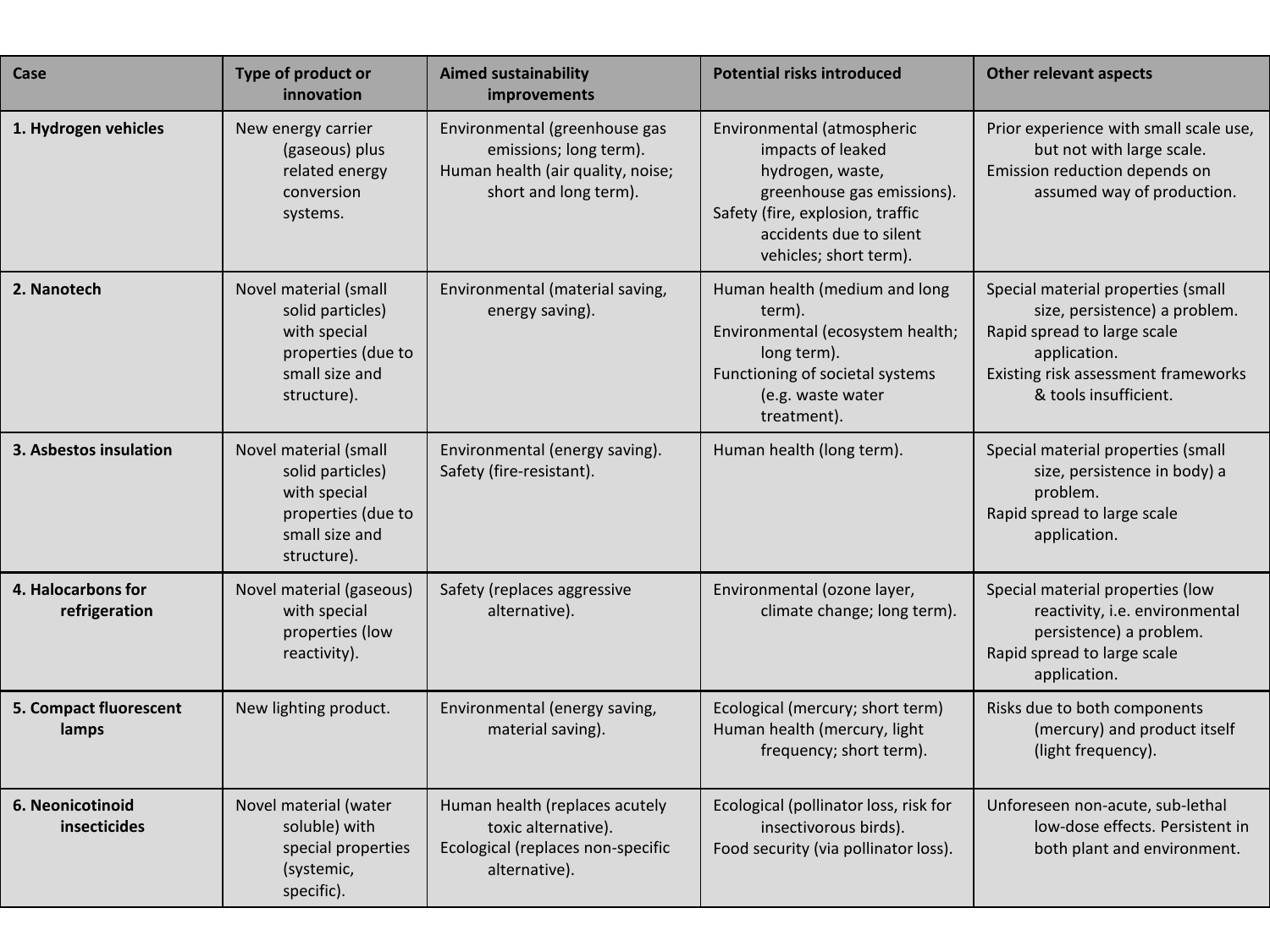| Case                                | Type of product or<br>innovation                                                                                 | <b>Aimed sustainability</b><br>improvements                                                                           | <b>Potential risks introduced</b>                                                                                                                                                          | <b>Other relevant aspects</b>                                                                                                                                                      |
|-------------------------------------|------------------------------------------------------------------------------------------------------------------|-----------------------------------------------------------------------------------------------------------------------|--------------------------------------------------------------------------------------------------------------------------------------------------------------------------------------------|------------------------------------------------------------------------------------------------------------------------------------------------------------------------------------|
| 1. Hydrogen vehicles                | New energy carrier<br>(gaseous) plus<br>related energy<br>conversion<br>systems.                                 | Environmental (greenhouse gas<br>emissions; long term).<br>Human health (air quality, noise;<br>short and long term). | Environmental (atmospheric<br>impacts of leaked<br>hydrogen, waste,<br>greenhouse gas emissions).<br>Safety (fire, explosion, traffic<br>accidents due to silent<br>vehicles; short term). | Prior experience with small scale use,<br>but not with large scale.<br>Emission reduction depends on<br>assumed way of production.                                                 |
| 2. Nanotech                         | Novel material (small<br>solid particles)<br>with special<br>properties (due to<br>small size and<br>structure). | Environmental (material saving,<br>energy saving).                                                                    | Human health (medium and long<br>term).<br>Environmental (ecosystem health;<br>long term).<br>Functioning of societal systems<br>(e.g. waste water<br>treatment).                          | Special material properties (small<br>size, persistence) a problem.<br>Rapid spread to large scale<br>application.<br>Existing risk assessment frameworks<br>& tools insufficient. |
| 3. Asbestos insulation              | Novel material (small<br>solid particles)<br>with special<br>properties (due to<br>small size and<br>structure). | Environmental (energy saving).<br>Safety (fire-resistant).                                                            | Human health (long term).                                                                                                                                                                  | Special material properties (small<br>size, persistence in body) a<br>problem.<br>Rapid spread to large scale<br>application.                                                      |
| 4. Halocarbons for<br>refrigeration | Novel material (gaseous)<br>with special<br>properties (low<br>reactivity).                                      | Safety (replaces aggressive<br>alternative).                                                                          | Environmental (ozone layer,<br>climate change; long term).                                                                                                                                 | Special material properties (low<br>reactivity, i.e. environmental<br>persistence) a problem.<br>Rapid spread to large scale<br>application.                                       |
| 5. Compact fluorescent<br>lamps     | New lighting product.                                                                                            | Environmental (energy saving,<br>material saving).                                                                    | Ecological (mercury; short term)<br>Human health (mercury, light<br>frequency; short term).                                                                                                | Risks due to both components<br>(mercury) and product itself<br>(light frequency).                                                                                                 |
| 6. Neonicotinoid<br>insecticides    | Novel material (water<br>soluble) with<br>special properties<br>(systemic,<br>specific).                         | Human health (replaces acutely<br>toxic alternative).<br>Ecological (replaces non-specific<br>alternative).           | Ecological (pollinator loss, risk for<br>insectivorous birds).<br>Food security (via pollinator loss).                                                                                     | Unforeseen non-acute, sub-lethal<br>low-dose effects. Persistent in<br>both plant and environment.                                                                                 |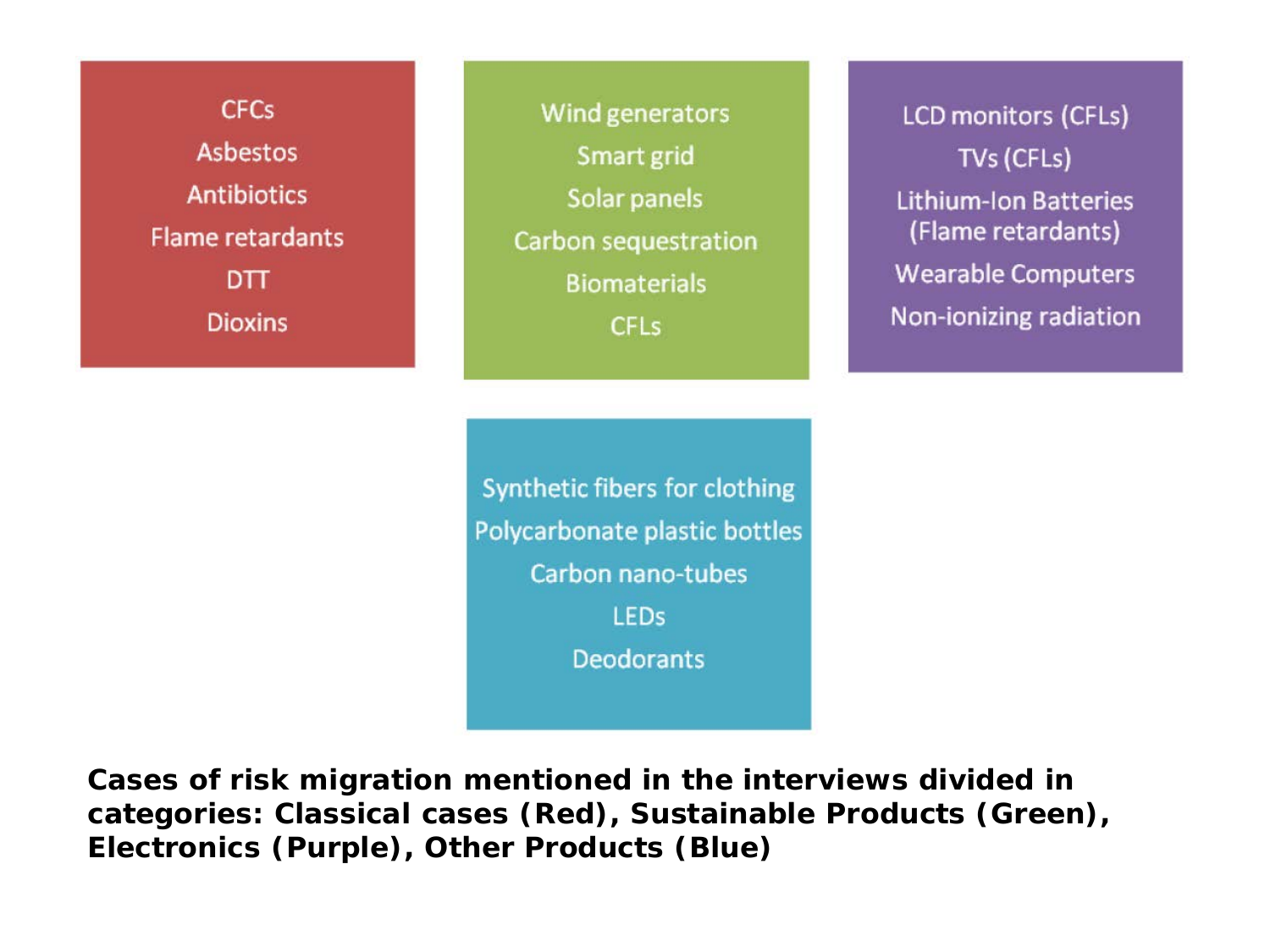**CFCs Asbestos Antibiotics Flame retardants DTT Dioxins** 

Wind generators Smart grid Solar panels Carbon sequestration **Biomaterials CFLs** 

**LCD monitors (CFLs)** TVs (CFLs) **Lithium-Ion Batteries** (Flame retardants) **Wearable Computers** Non-ionizing radiation

Synthetic fibers for clothing Polycarbonate plastic bottles Carbon nano-tubes **LEDs Deodorants** 

**Cases of risk migration mentioned in the interviews divided in categories: Classical cases (Red), Sustainable Products (Green), Electronics (Purple), Other Products (Blue)**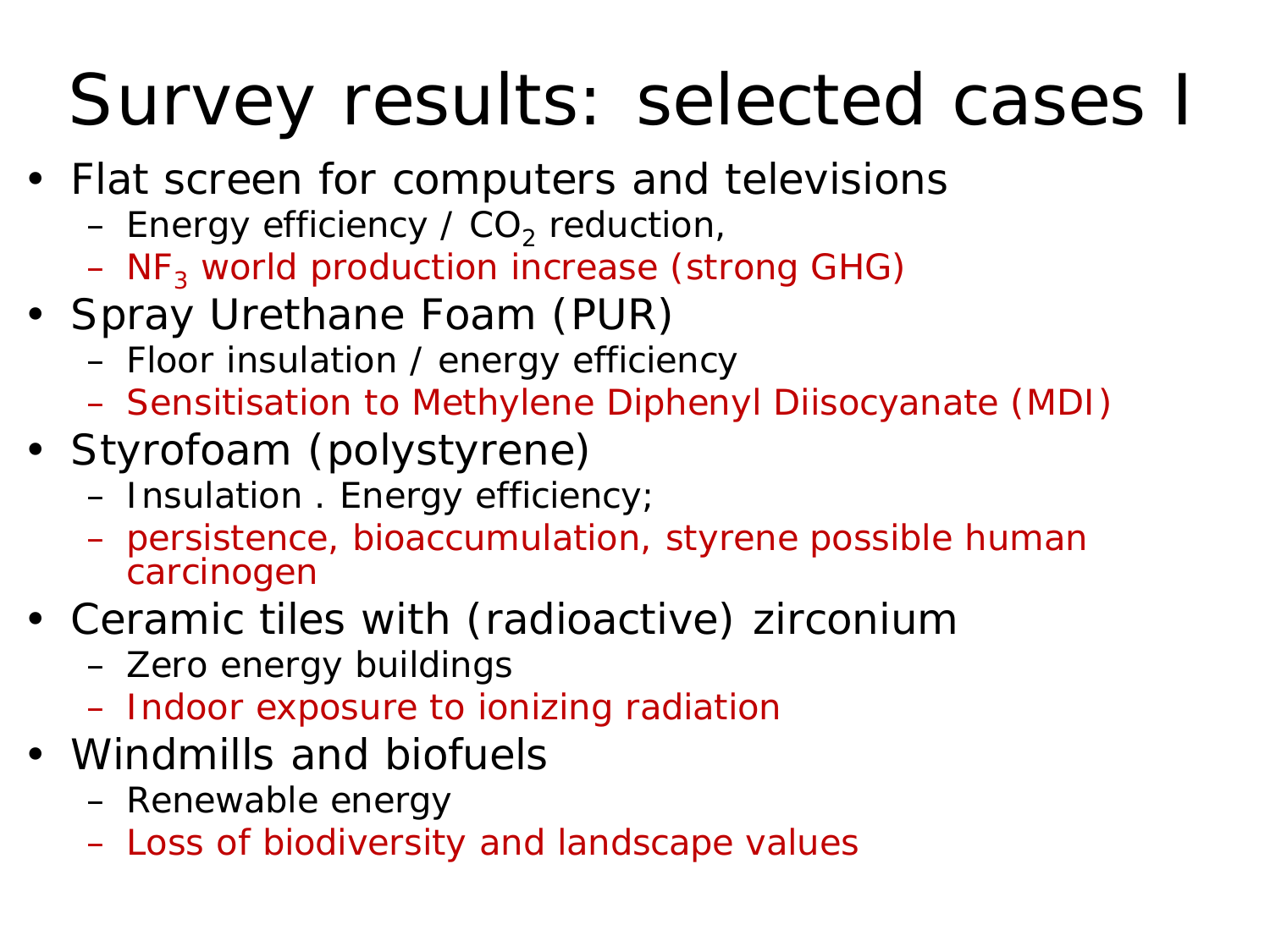### Survey results: selected cases I

- Flat screen for computers and televisions
	- Energy efficiency /  $CO<sub>2</sub>$  reduction,
	- $-$  NF<sub>3</sub> world production increase (strong GHG)
- Spray Urethane Foam (PUR)
	- Floor insulation / energy efficiency
	- Sensitisation to Methylene Diphenyl Diisocyanate (MDI)
- Styrofoam (polystyrene)
	- Insulation . Energy efficiency;
	- persistence, bioaccumulation, styrene possible human carcinogen
- Ceramic tiles with (radioactive) zirconium
	- Zero energy buildings
	- Indoor exposure to ionizing radiation
- Windmills and biofuels
	- Renewable energy
	- Loss of biodiversity and landscape values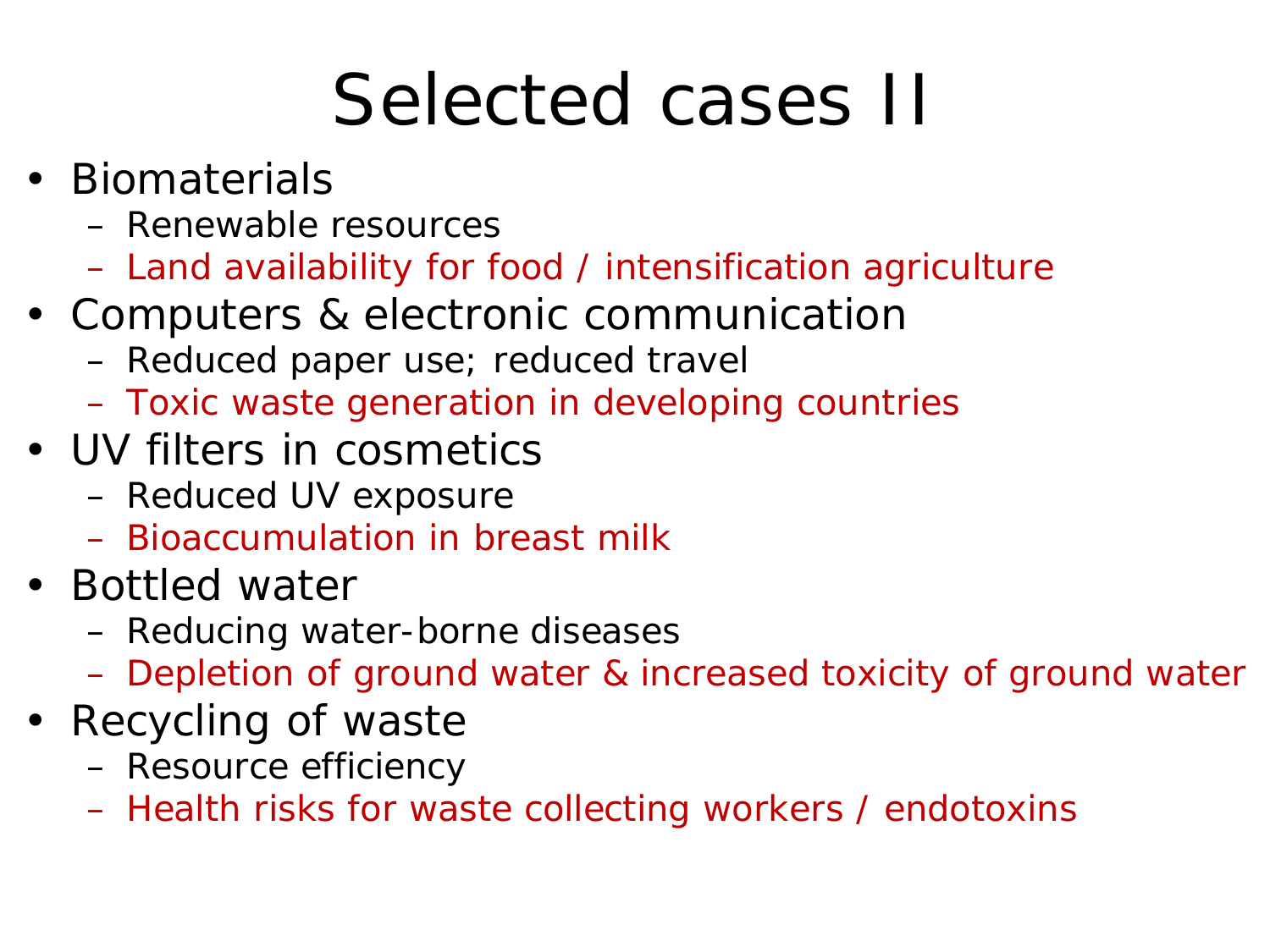### Selected cases II

- Biomaterials
	- Renewable resources
	- Land availability for food / intensification agriculture
- Computers & electronic communication
	- Reduced paper use; reduced travel
	- Toxic waste generation in developing countries
- UV filters in cosmetics
	- Reduced UV exposure
	- Bioaccumulation in breast milk
- Bottled water
	- Reducing water-borne diseases
	- Depletion of ground water & increased toxicity of ground water
- Recycling of waste
	- Resource efficiency
	- Health risks for waste collecting workers / endotoxins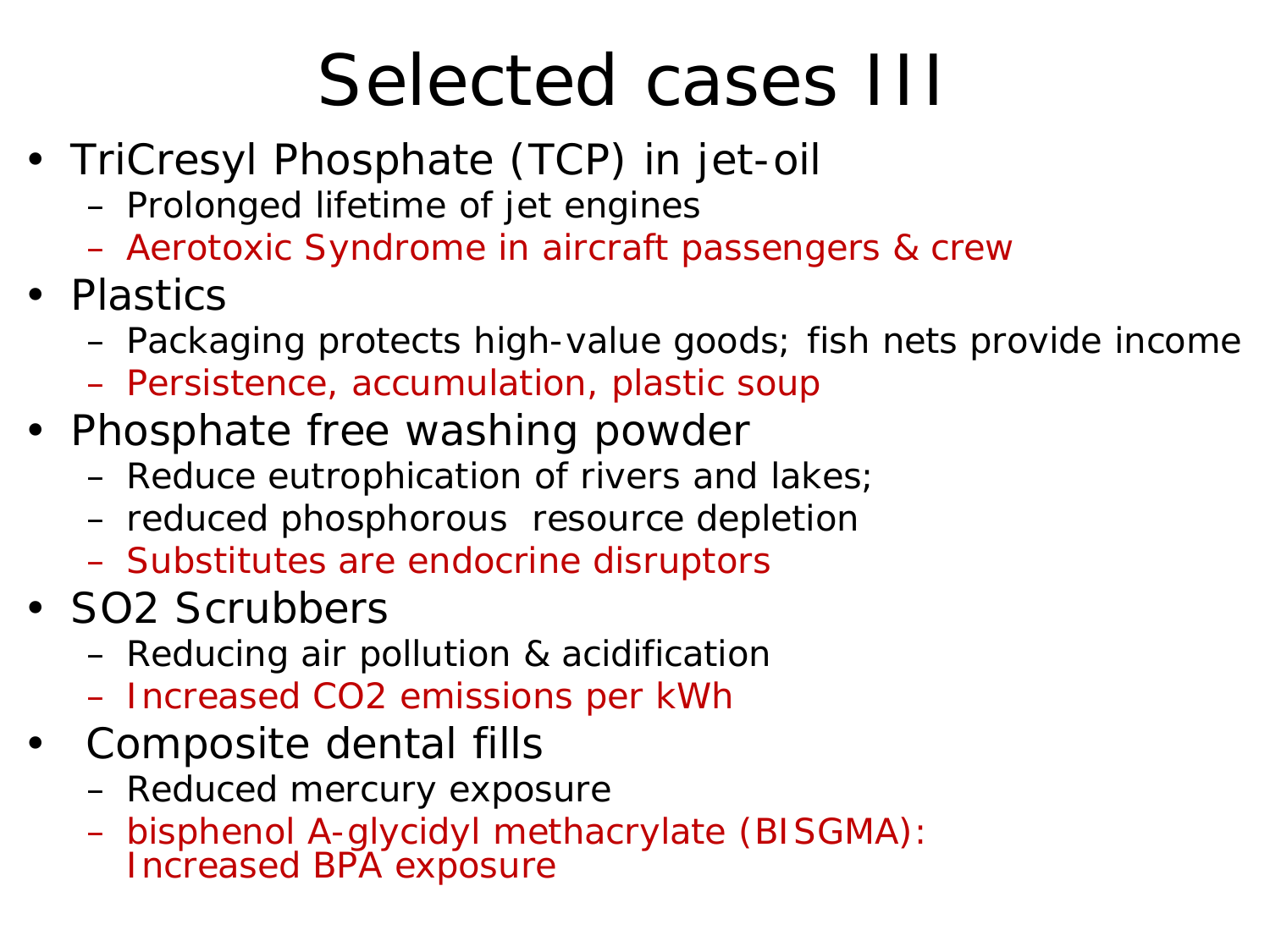### Selected cases III

- TriCresyl Phosphate (TCP) in jet-oil
	- Prolonged lifetime of jet engines
	- Aerotoxic Syndrome in aircraft passengers & crew
- Plastics
	- Packaging protects high-value goods; fish nets provide income
	- Persistence, accumulation, plastic soup
- Phosphate free washing powder
	- Reduce eutrophication of rivers and lakes;
	- reduced phosphorous resource depletion
	- Substitutes are endocrine disruptors
- SO2 Scrubbers
	- Reducing air pollution & acidification
	- Increased CO2 emissions per kWh
- Composite dental fills
	- Reduced mercury exposure
	- bisphenol A-glycidyl methacrylate (BISGMA): Increased BPA exposure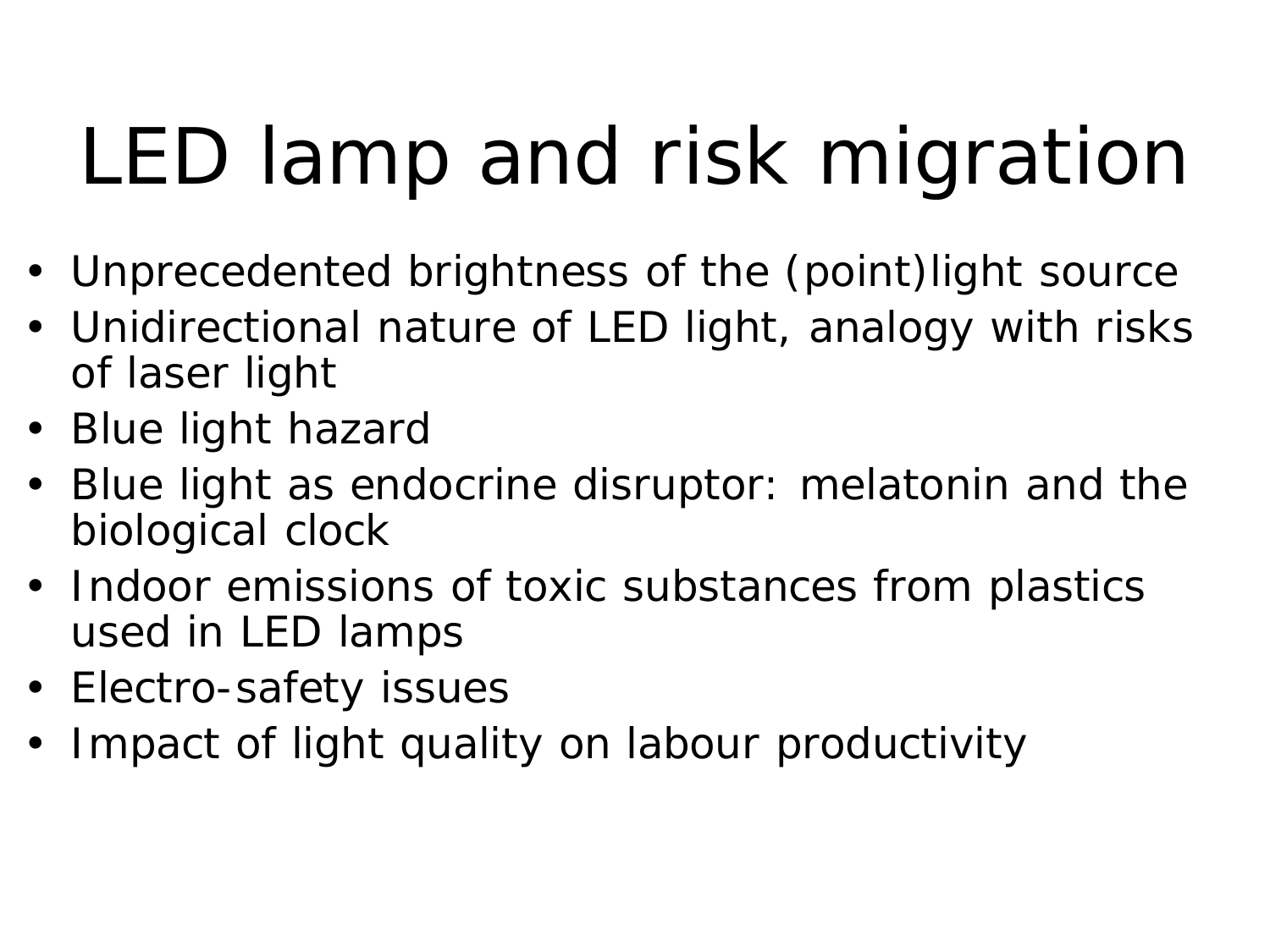# LED lamp and risk migration

- Unprecedented brightness of the (point)light source
- Unidirectional nature of LED light, analogy with risks of laser light
- Blue light hazard
- Blue light as endocrine disruptor: melatonin and the biological clock
- Indoor emissions of toxic substances from plastics used in LED lamps
- Electro-safety issues
- Impact of light quality on labour productivity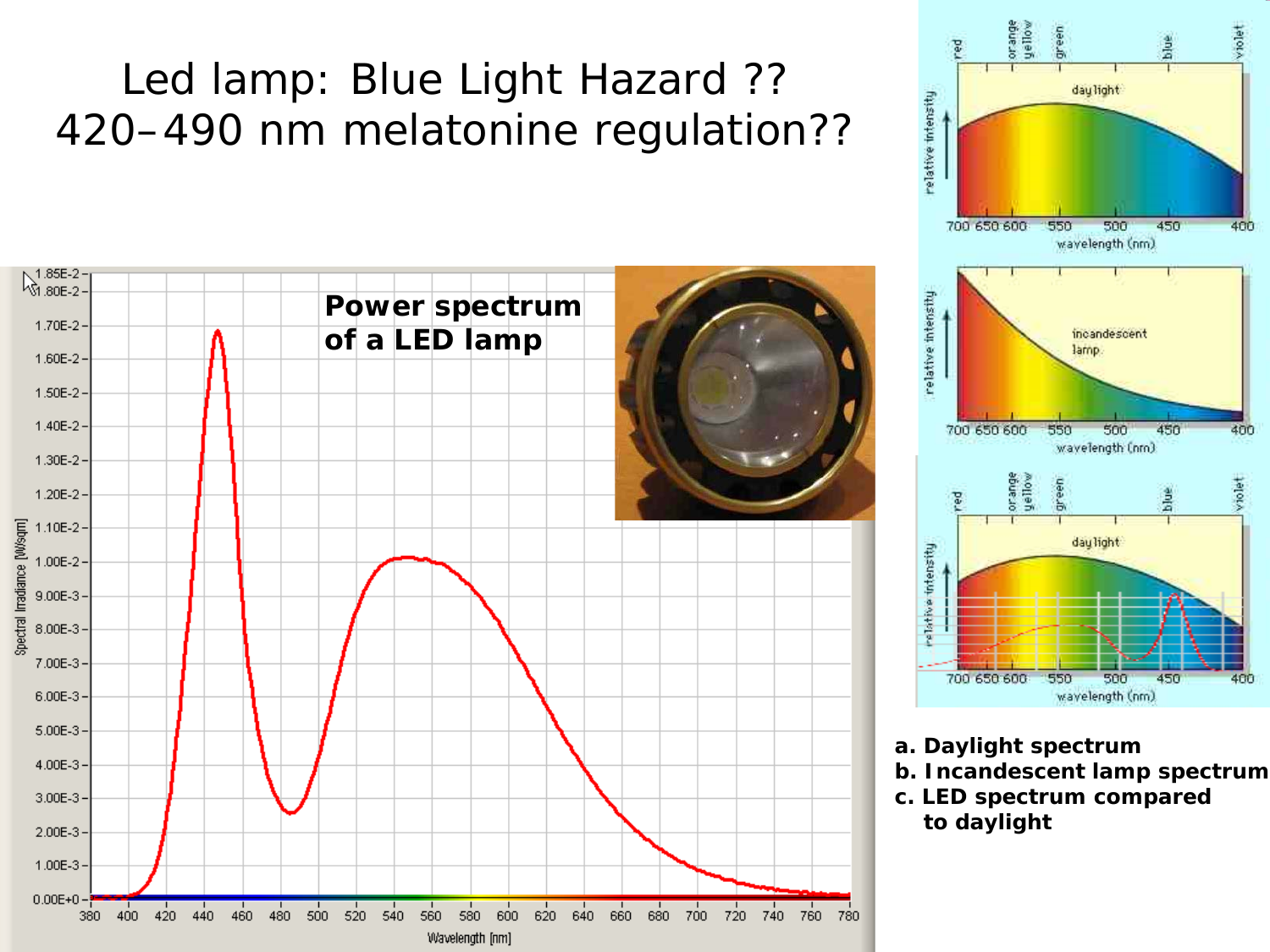#### Led lamp: Blue Light Hazard ?? 420–490 nm melatonine regulation??

![](_page_14_Figure_1.jpeg)

![](_page_14_Figure_2.jpeg)

- **a. Daylight spectrum**
- **b. Incandescent lamp spectrum**
- **c. LED spectrum compared to daylight**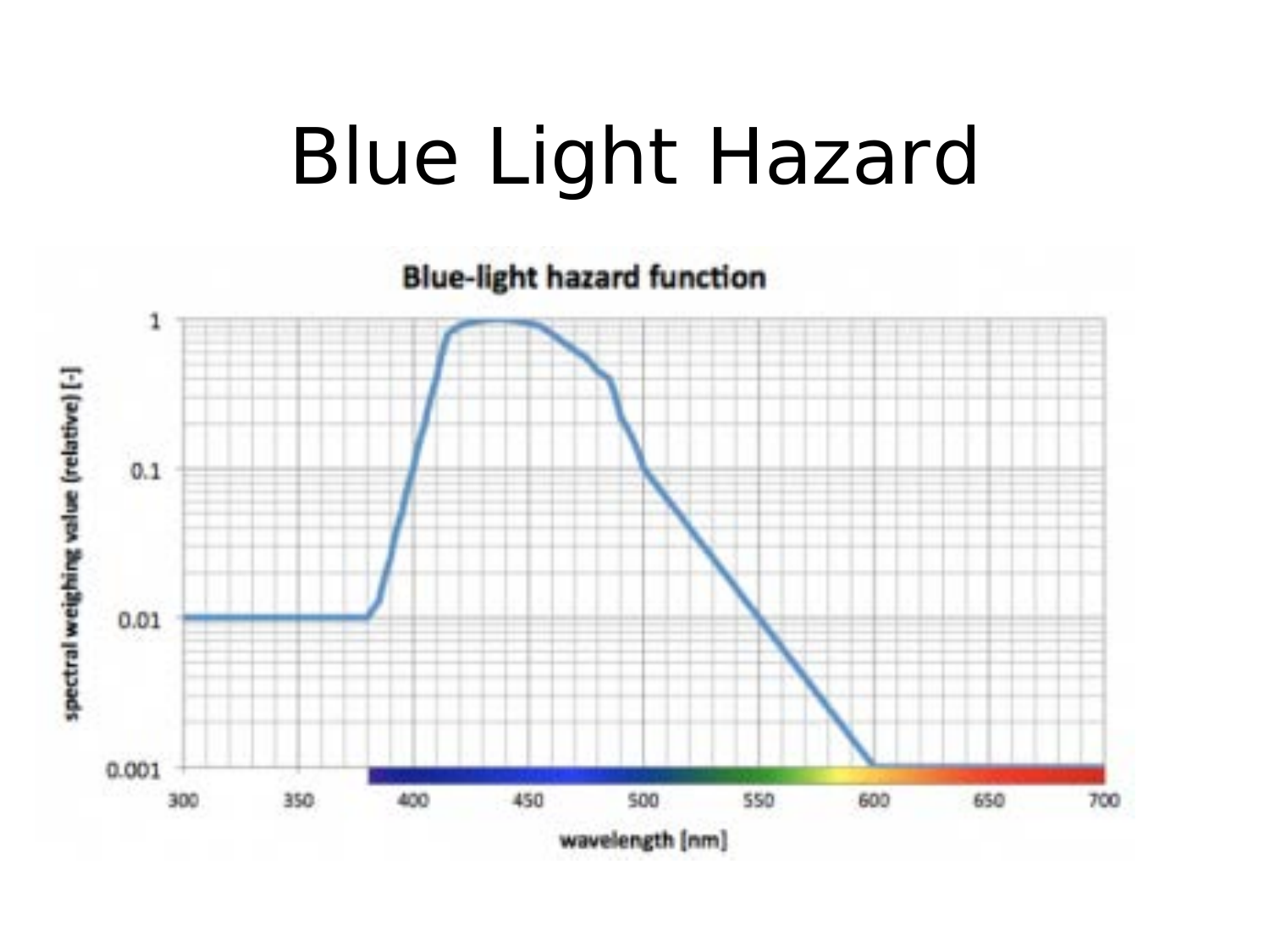## Blue Light Hazard

**Blue-light hazard function** 

![](_page_15_Figure_2.jpeg)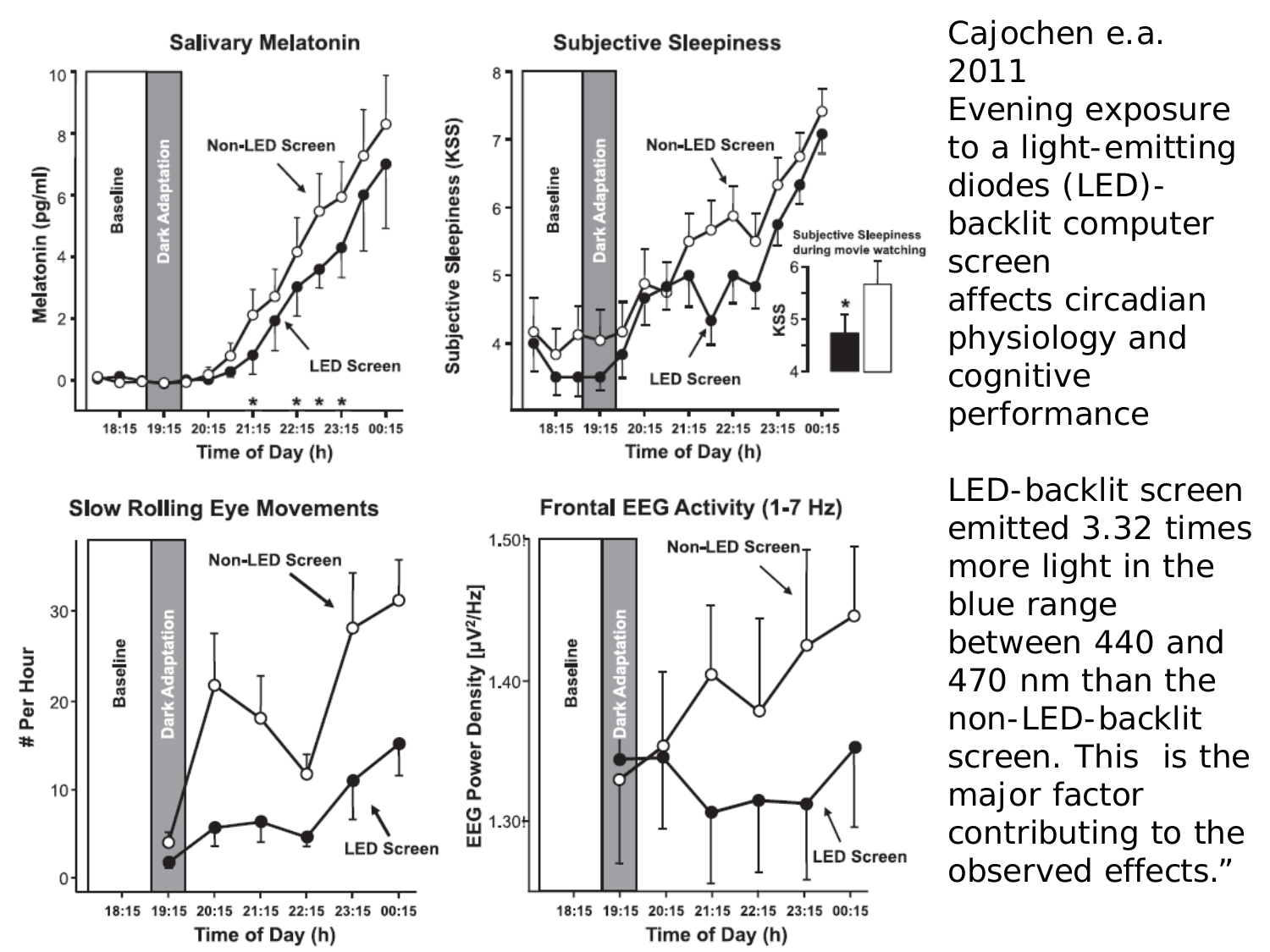![](_page_16_Figure_0.jpeg)

Cajochen e.a. 2011 Evening exposure to a light-emitting diodes (LED) backlit computer screen affects circadian physiology and cognitive performance

LED-backlit screen emitted 3.32 times more light in the blue range between 440 and 470 nm than the non-LED-backlit screen. This is the major factor contributing to the observed effects."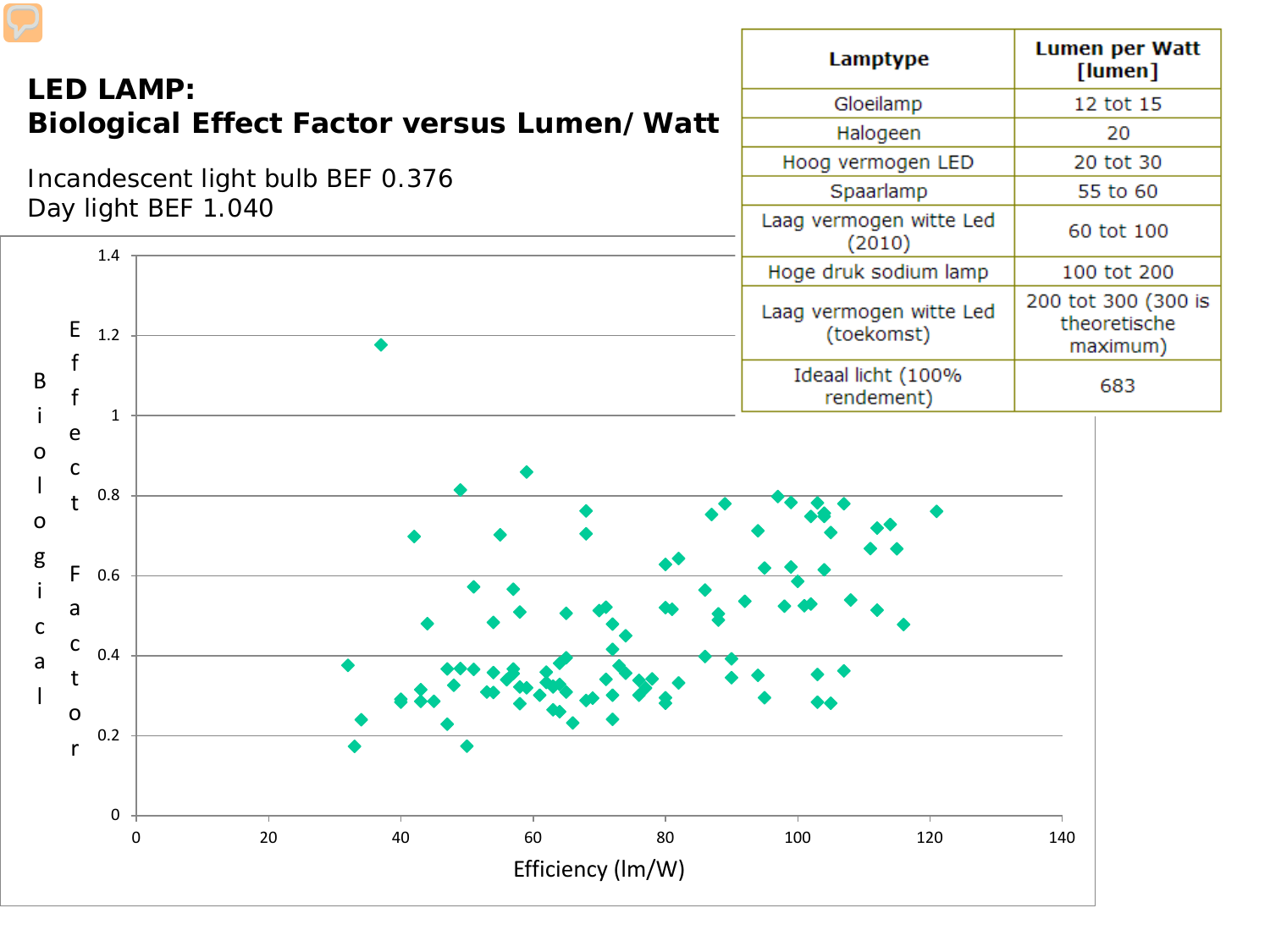![](_page_17_Figure_0.jpeg)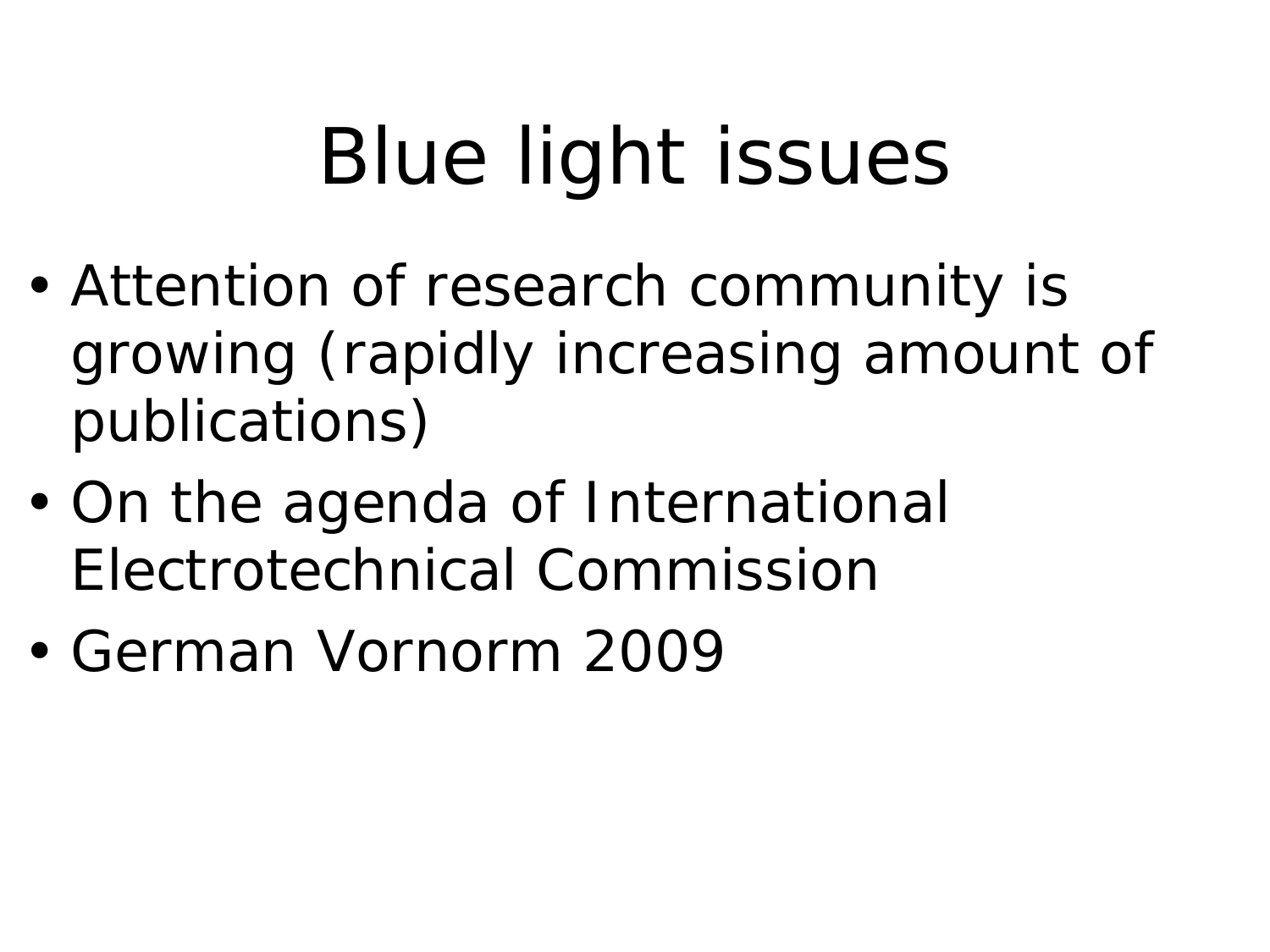## Blue light issues

- Attention of research community is growing (rapidly increasing amount of publications)
- On the agenda of International Electrotechnical Commission
- German Vornorm 2009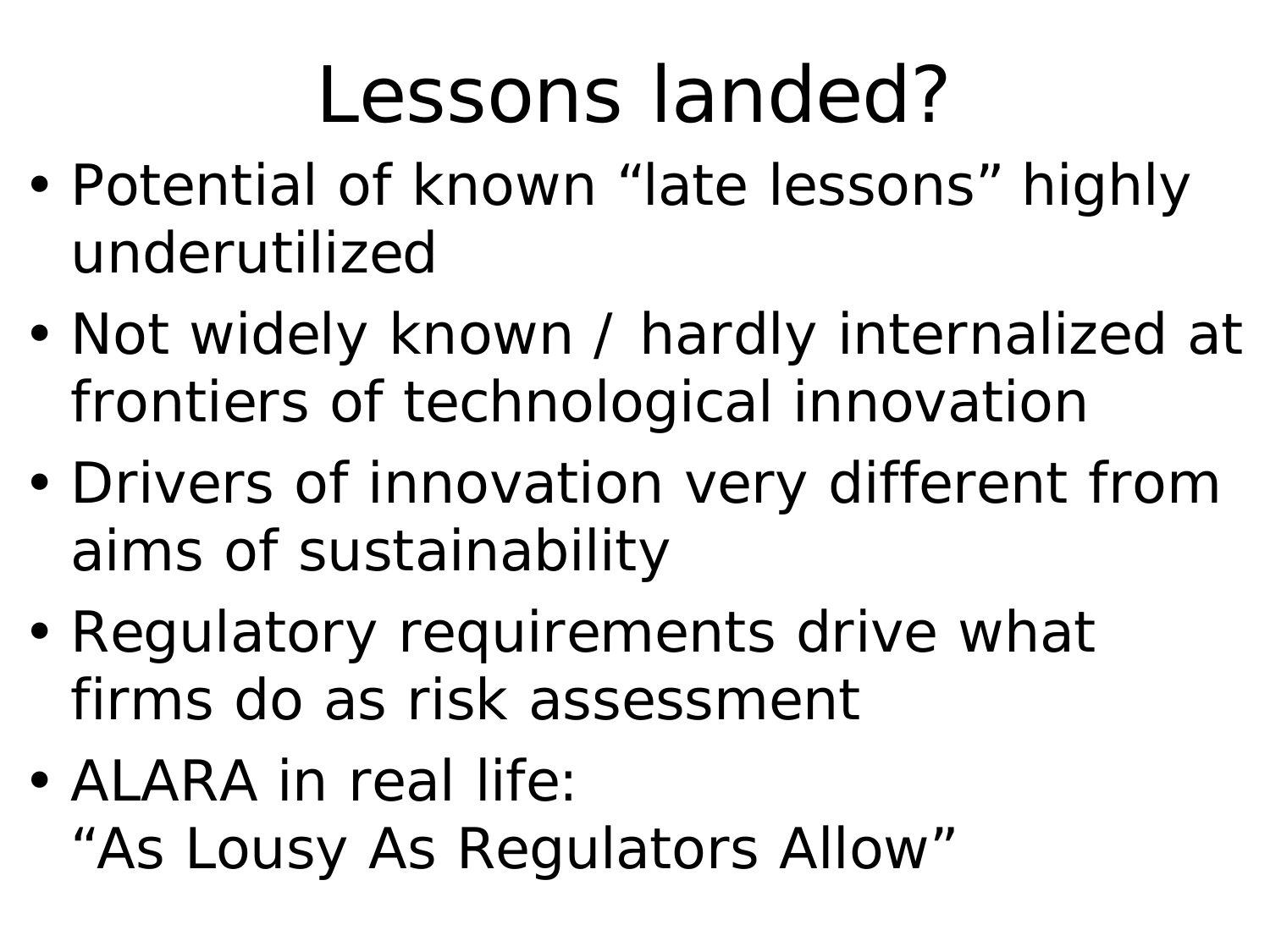## Lessons landed?

- Potential of known "late lessons" highly underutilized
- Not widely known / hardly internalized at frontiers of technological innovation
- Drivers of innovation very different from aims of sustainability
- Regulatory requirements drive what firms do as risk assessment
- ALARA in real life: "As Lousy As Regulators Allow"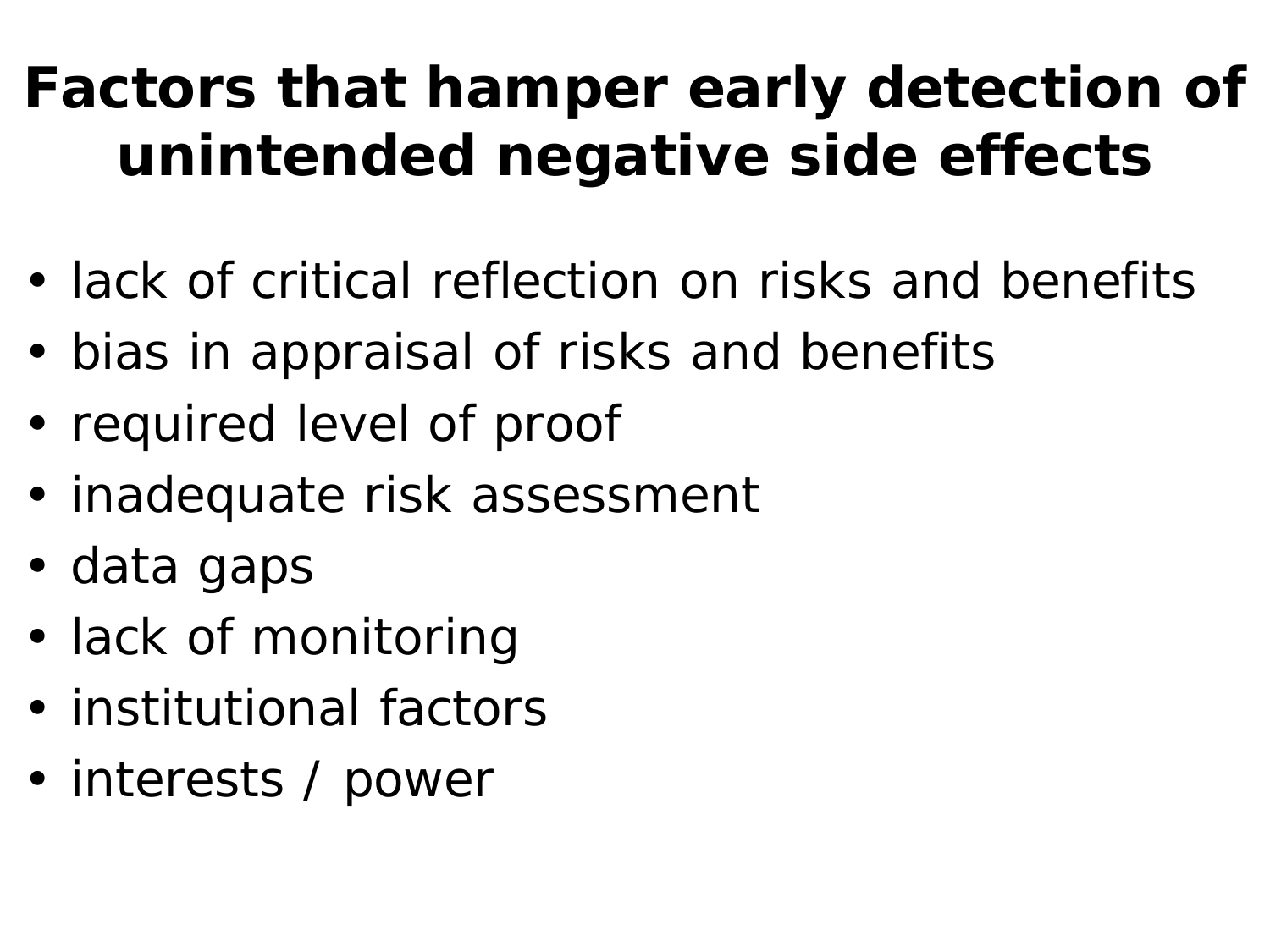#### **Factors that hamper early detection of unintended negative side effects**

- lack of critical reflection on risks and benefits
- bias in appraisal of risks and benefits
- required level of proof
- inadequate risk assessment
- data gaps
- lack of monitoring
- institutional factors
- interests / power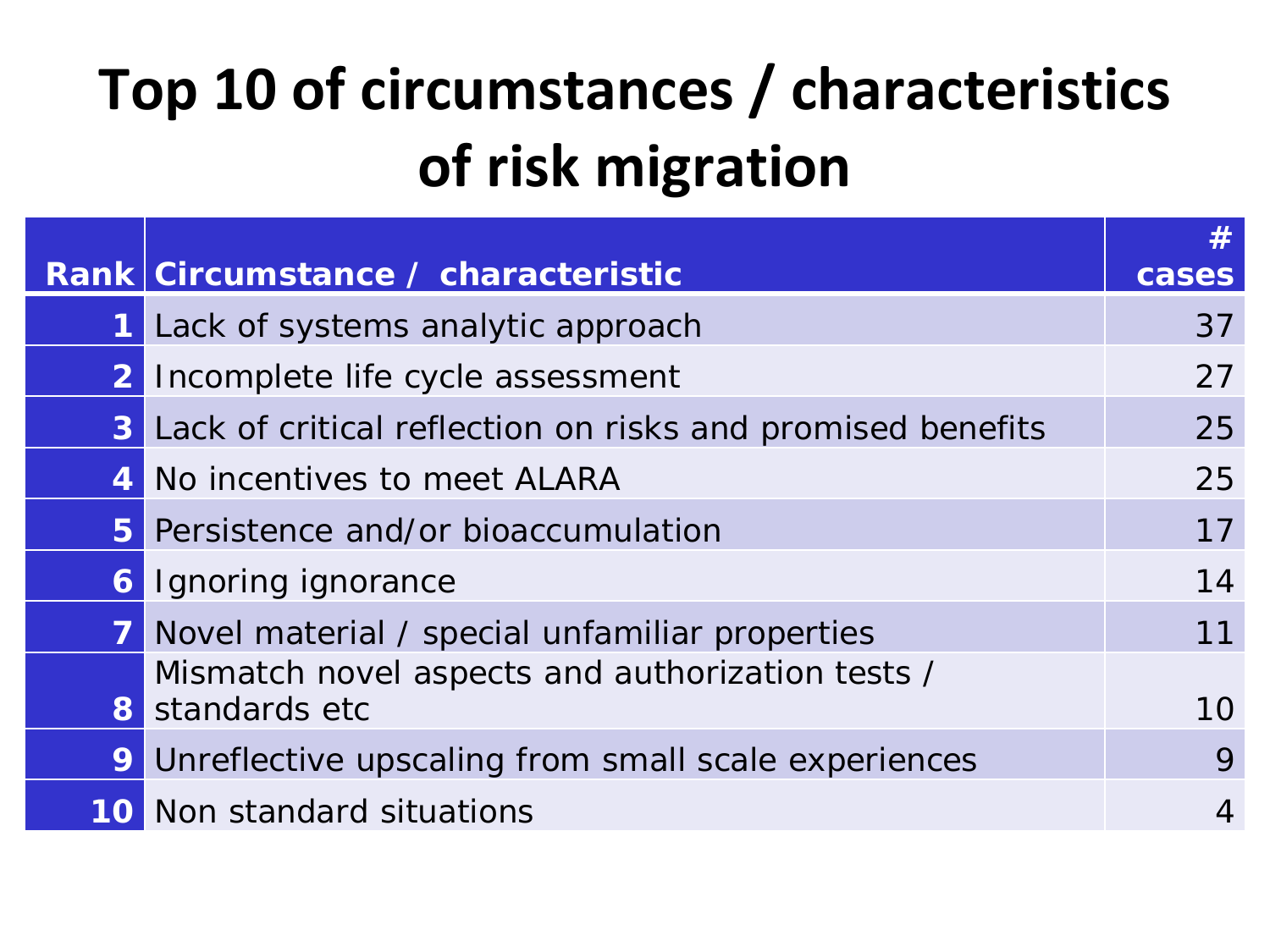#### **Top 10 of circumstances / characteristics of risk migration**

|             | Rank Circumstance / characteristic                                  | #<br>cases |
|-------------|---------------------------------------------------------------------|------------|
| $\mathbf 1$ | Lack of systems analytic approach                                   | 37         |
|             | 2 Incomplete life cycle assessment                                  | 27         |
|             | <b>3</b> Lack of critical reflection on risks and promised benefits | 25         |
|             | 4 No incentives to meet ALARA                                       | 25         |
|             | 5 Persistence and/or bioaccumulation                                | 17         |
|             | <b>6</b> Ignoring ignorance                                         | 14         |
| 7           | Novel material / special unfamiliar properties                      | 11         |
|             | Mismatch novel aspects and authorization tests /<br>8 standards etc | 10         |
| 9           | Unreflective upscaling from small scale experiences                 | 9          |
|             | <b>10</b> Non standard situations                                   | 4          |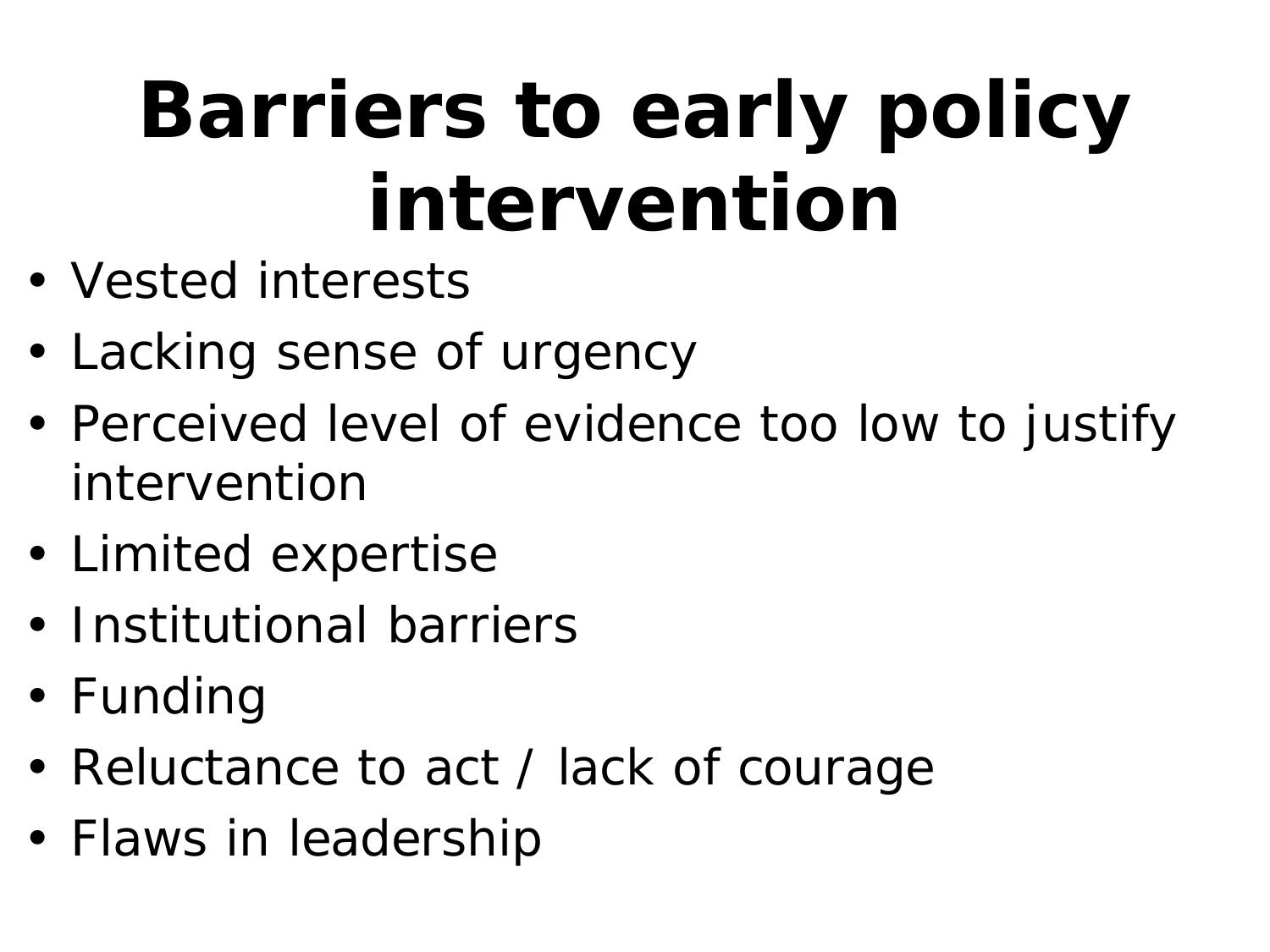## **Barriers to early policy intervention**

- Vested interests
- Lacking sense of urgency
- Perceived level of evidence too low to justify intervention
- Limited expertise
- Institutional barriers
- Funding
- Reluctance to act / lack of courage
- Flaws in leadership